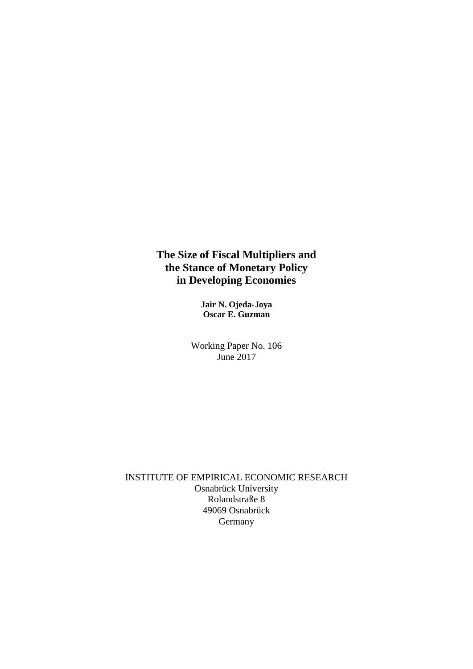## **The Size of Fiscal Multipliers and the Stance of Monetary Policy in Developing Economies**

**Jair N. Ojeda-Joya Oscar E. Guzman**

Working Paper No. 106 June 2017

INSTITUTE OF EMPIRICAL ECONOMIC RESEARCH Osnabrück University Rolandstraße 8 49069 Osnabrück Germany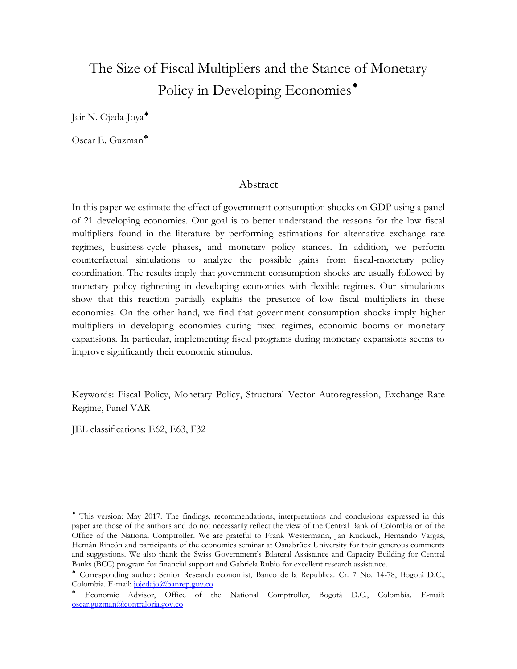# The Size of Fiscal Multipliers and the Stance of Monetary Policy in Developing Economies<sup>\*</sup>

Jair N. Ojeda-Joya

Oscar E. Guzman

### Abstract

In this paper we estimate the effect of government consumption shocks on GDP using a panel of 21 developing economies. Our goal is to better understand the reasons for the low fiscal multipliers found in the literature by performing estimations for alternative exchange rate regimes, business-cycle phases, and monetary policy stances. In addition, we perform counterfactual simulations to analyze the possible gains from fiscal-monetary policy coordination. The results imply that government consumption shocks are usually followed by monetary policy tightening in developing economies with flexible regimes. Our simulations show that this reaction partially explains the presence of low fiscal multipliers in these economies. On the other hand, we find that government consumption shocks imply higher multipliers in developing economies during fixed regimes, economic booms or monetary expansions. In particular, implementing fiscal programs during monetary expansions seems to improve significantly their economic stimulus.

Keywords: Fiscal Policy, Monetary Policy, Structural Vector Autoregression, Exchange Rate Regime, Panel VAR

JEL classifications: E62, E63, F32

 $\overline{a}$ 

This version: May 2017. The findings, recommendations, interpretations and conclusions expressed in this paper are those of the authors and do not necessarily reflect the view of the Central Bank of Colombia or of the Office of the National Comptroller. We are grateful to Frank Westermann, Jan Kuckuck, Hernando Vargas, Hernán Rincón and participants of the economics seminar at Osnabrück University for their generous comments and suggestions. We also thank the Swiss Government's Bilateral Assistance and Capacity Building for Central Banks (BCC) program for financial support and Gabriela Rubio for excellent research assistance.

Corresponding author: Senior Research economist, Banco de la Republica. Cr. 7 No. 14-78, Bogotá D.C., Colombia. E-mail: [jojedajo@banrep.gov.co](mailto:jojedajo@banrep.gov.co)

Economic Advisor, Office of the National Comptroller, Bogotá D.C., Colombia. E-mail: [oscar.guzman@contraloria.gov.co](mailto:oscar.guzman@contraloria.gov.co)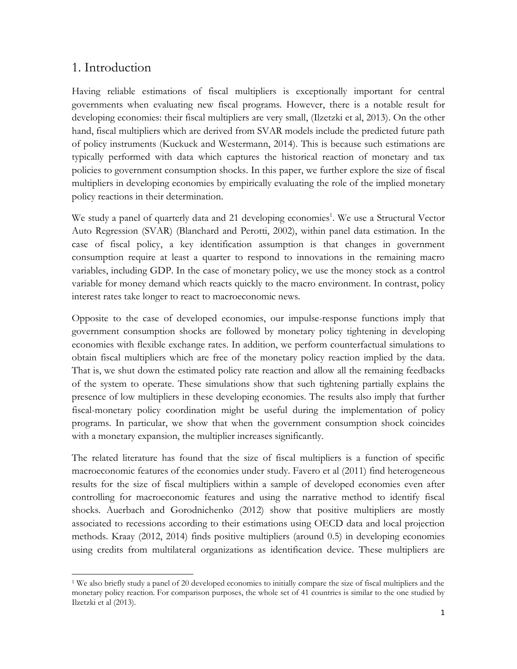## 1. Introduction

 $\overline{a}$ 

Having reliable estimations of fiscal multipliers is exceptionally important for central governments when evaluating new fiscal programs. However, there is a notable result for developing economies: their fiscal multipliers are very small, (Ilzetzki et al, 2013). On the other hand, fiscal multipliers which are derived from SVAR models include the predicted future path of policy instruments (Kuckuck and Westermann, 2014). This is because such estimations are typically performed with data which captures the historical reaction of monetary and tax policies to government consumption shocks. In this paper, we further explore the size of fiscal multipliers in developing economies by empirically evaluating the role of the implied monetary policy reactions in their determination.

We study a panel of quarterly data and 21 developing economies<sup>1</sup>. We use a Structural Vector Auto Regression (SVAR) (Blanchard and Perotti, 2002), within panel data estimation. In the case of fiscal policy, a key identification assumption is that changes in government consumption require at least a quarter to respond to innovations in the remaining macro variables, including GDP. In the case of monetary policy, we use the money stock as a control variable for money demand which reacts quickly to the macro environment. In contrast, policy interest rates take longer to react to macroeconomic news.

Opposite to the case of developed economies, our impulse-response functions imply that government consumption shocks are followed by monetary policy tightening in developing economies with flexible exchange rates. In addition, we perform counterfactual simulations to obtain fiscal multipliers which are free of the monetary policy reaction implied by the data. That is, we shut down the estimated policy rate reaction and allow all the remaining feedbacks of the system to operate. These simulations show that such tightening partially explains the presence of low multipliers in these developing economies. The results also imply that further fiscal-monetary policy coordination might be useful during the implementation of policy programs. In particular, we show that when the government consumption shock coincides with a monetary expansion, the multiplier increases significantly.

The related literature has found that the size of fiscal multipliers is a function of specific macroeconomic features of the economies under study. Favero et al (2011) find heterogeneous results for the size of fiscal multipliers within a sample of developed economies even after controlling for macroeconomic features and using the narrative method to identify fiscal shocks. Auerbach and Gorodnichenko (2012) show that positive multipliers are mostly associated to recessions according to their estimations using OECD data and local projection methods. Kraay (2012, 2014) finds positive multipliers (around 0.5) in developing economies using credits from multilateral organizations as identification device. These multipliers are

<sup>1</sup> We also briefly study a panel of 20 developed economies to initially compare the size of fiscal multipliers and the monetary policy reaction. For comparison purposes, the whole set of 41 countries is similar to the one studied by Ilzetzki et al (2013).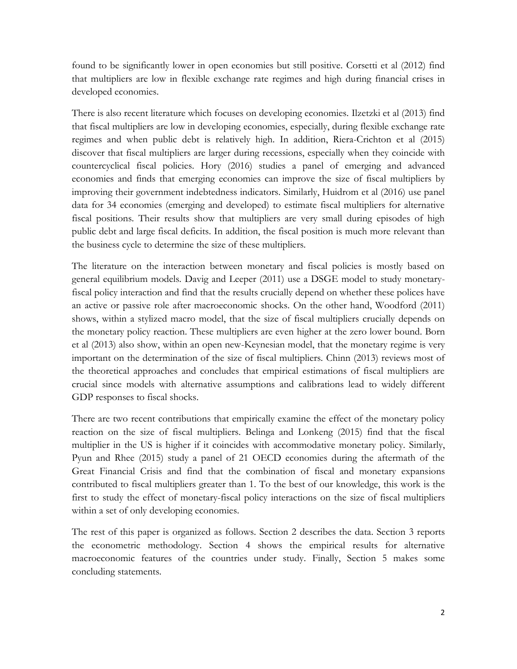found to be significantly lower in open economies but still positive. Corsetti et al (2012) find that multipliers are low in flexible exchange rate regimes and high during financial crises in developed economies.

There is also recent literature which focuses on developing economies. Ilzetzki et al (2013) find that fiscal multipliers are low in developing economies, especially, during flexible exchange rate regimes and when public debt is relatively high. In addition, Riera-Crichton et al (2015) discover that fiscal multipliers are larger during recessions, especially when they coincide with countercyclical fiscal policies. Hory (2016) studies a panel of emerging and advanced economies and finds that emerging economies can improve the size of fiscal multipliers by improving their government indebtedness indicators. Similarly, Huidrom et al (2016) use panel data for 34 economies (emerging and developed) to estimate fiscal multipliers for alternative fiscal positions. Their results show that multipliers are very small during episodes of high public debt and large fiscal deficits. In addition, the fiscal position is much more relevant than the business cycle to determine the size of these multipliers.

The literature on the interaction between monetary and fiscal policies is mostly based on general equilibrium models. Davig and Leeper (2011) use a DSGE model to study monetaryfiscal policy interaction and find that the results crucially depend on whether these polices have an active or passive role after macroeconomic shocks. On the other hand, Woodford (2011) shows, within a stylized macro model, that the size of fiscal multipliers crucially depends on the monetary policy reaction. These multipliers are even higher at the zero lower bound. Born et al (2013) also show, within an open new-Keynesian model, that the monetary regime is very important on the determination of the size of fiscal multipliers. Chinn (2013) reviews most of the theoretical approaches and concludes that empirical estimations of fiscal multipliers are crucial since models with alternative assumptions and calibrations lead to widely different GDP responses to fiscal shocks.

There are two recent contributions that empirically examine the effect of the monetary policy reaction on the size of fiscal multipliers. Belinga and Lonkeng (2015) find that the fiscal multiplier in the US is higher if it coincides with accommodative monetary policy. Similarly, Pyun and Rhee (2015) study a panel of 21 OECD economies during the aftermath of the Great Financial Crisis and find that the combination of fiscal and monetary expansions contributed to fiscal multipliers greater than 1. To the best of our knowledge, this work is the first to study the effect of monetary-fiscal policy interactions on the size of fiscal multipliers within a set of only developing economies.

The rest of this paper is organized as follows. Section 2 describes the data. Section 3 reports the econometric methodology. Section 4 shows the empirical results for alternative macroeconomic features of the countries under study. Finally, Section 5 makes some concluding statements.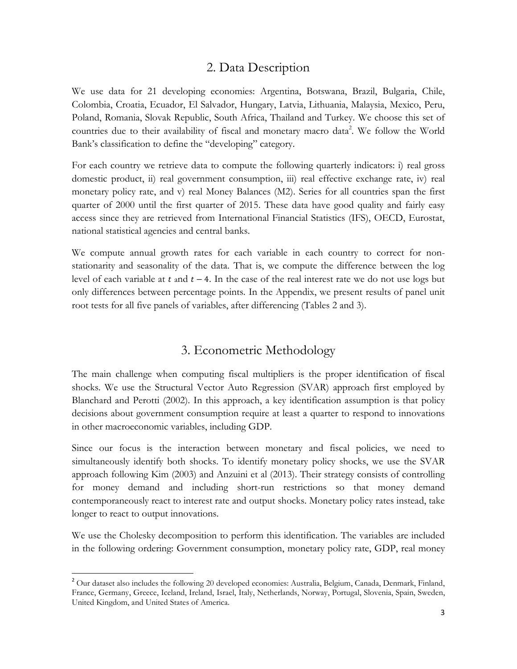## 2. Data Description

We use data for 21 developing economies: Argentina, Botswana, Brazil, Bulgaria, Chile, Colombia, Croatia, Ecuador, El Salvador, Hungary, Latvia, Lithuania, Malaysia, Mexico, Peru, Poland, Romania, Slovak Republic, South Africa, Thailand and Turkey. We choose this set of countries due to their availability of fiscal and monetary macro data<sup>2</sup>. We follow the World Bank's classification to define the "developing" category.

For each country we retrieve data to compute the following quarterly indicators: i) real gross domestic product, ii) real government consumption, iii) real effective exchange rate, iv) real monetary policy rate, and v) real Money Balances (M2). Series for all countries span the first quarter of 2000 until the first quarter of 2015. These data have good quality and fairly easy access since they are retrieved from International Financial Statistics (IFS), OECD, Eurostat, national statistical agencies and central banks.

We compute annual growth rates for each variable in each country to correct for nonstationarity and seasonality of the data. That is, we compute the difference between the log level of each variable at  $t$  and  $t - 4$ . In the case of the real interest rate we do not use logs but only differences between percentage points. In the Appendix, we present results of panel unit root tests for all five panels of variables, after differencing (Tables 2 and 3).

## 3. Econometric Methodology

The main challenge when computing fiscal multipliers is the proper identification of fiscal shocks. We use the Structural Vector Auto Regression (SVAR) approach first employed by Blanchard and Perotti (2002). In this approach, a key identification assumption is that policy decisions about government consumption require at least a quarter to respond to innovations in other macroeconomic variables, including GDP.

Since our focus is the interaction between monetary and fiscal policies, we need to simultaneously identify both shocks. To identify monetary policy shocks, we use the SVAR approach following Kim (2003) and Anzuini et al (2013). Their strategy consists of controlling for money demand and including short-run restrictions so that money demand contemporaneously react to interest rate and output shocks. Monetary policy rates instead, take longer to react to output innovations.

We use the Cholesky decomposition to perform this identification. The variables are included in the following ordering: Government consumption, monetary policy rate, GDP, real money

 $\overline{a}$ 

<sup>&</sup>lt;sup>2</sup> Our dataset also includes the following 20 developed economies: Australia, Belgium, Canada, Denmark, Finland, France, Germany, Greece, Iceland, Ireland, Israel, Italy, Netherlands, Norway, Portugal, Slovenia, Spain, Sweden, United Kingdom, and United States of America.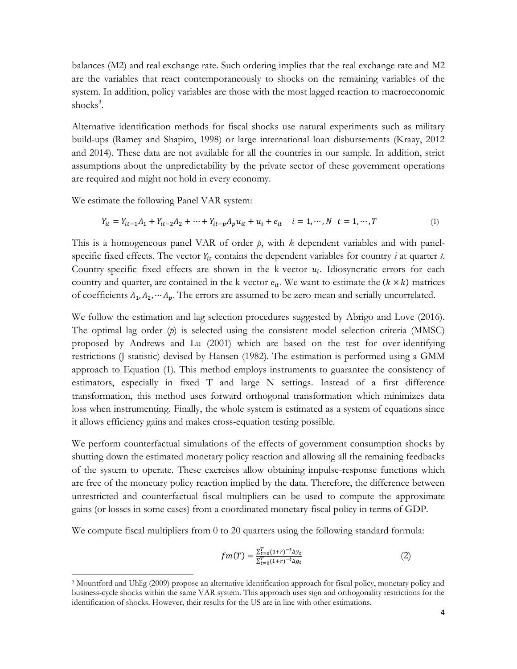balances (M2) and real exchange rate. Such ordering implies that the real exchange rate and M2 are the variables that react contemporaneously to shocks on the remaining variables of the system. In addition, policy variables are those with the most lagged reaction to macroeconomic shocks<sup>3</sup>.

Alternative identification methods for fiscal shocks use natural experiments such as military build-ups (Ramey and Shapiro, 1998) or large international loan disbursements (Kraay, 2012 and 2014). These data are not available for all the countries in our sample. In addition, strict assumptions about the unpredictability by the private sector of these government operations are required and might not hold in every economy.

We estimate the following Panel VAR system:

 $\overline{a}$ 

$$
Y_{it} = Y_{it-1}A_1 + Y_{it-2}A_2 + \dots + Y_{it-p}A_p u_{it} + u_i + e_{it} \quad i = 1, \dots, N \quad t = 1, \dots, T
$$
 (1)

This is a homogeneous panel VAR of order  $p$ , with  $k$  dependent variables and with panelspecific fixed effects. The vector  $Y_{it}$  contains the dependent variables for country  $i$  at quarter  $t$ . Country-specific fixed effects are shown in the k-vector  $u_i$ . Idiosyncratic errors for each country and quarter, are contained in the k-vector  $e_{it}$ . We want to estimate the  $(k \times k)$  matrices of coefficients  $A_1, A_2, \dots, A_p$ . The errors are assumed to be zero-mean and serially uncorrelated.

We follow the estimation and lag selection procedures suggested by Abrigo and Love (2016). The optimal lag order (*p*) is selected using the consistent model selection criteria (MMSC) proposed by Andrews and Lu (2001) which are based on the test for over-identifying restrictions (J statistic) devised by Hansen (1982). The estimation is performed using a GMM approach to Equation (1). This method employs instruments to guarantee the consistency of estimators, especially in fixed T and large N settings. Instead of a first difference transformation, this method uses forward orthogonal transformation which minimizes data loss when instrumenting. Finally, the whole system is estimated as a system of equations since it allows efficiency gains and makes cross-equation testing possible.

We perform counterfactual simulations of the effects of government consumption shocks by shutting down the estimated monetary policy reaction and allowing all the remaining feedbacks of the system to operate. These exercises allow obtaining impulse-response functions which are free of the monetary policy reaction implied by the data. Therefore, the difference between unrestricted and counterfactual fiscal multipliers can be used to compute the approximate gains (or losses in some cases) from a coordinated monetary-fiscal policy in terms of GDP.

We compute fiscal multipliers from 0 to 20 quarters using the following standard formula:

$$
fm(T) = \frac{\sum_{t=0}^{T} (1+r)^{-t} \Delta y_t}{\sum_{t=0}^{T} (1+r)^{-t} \Delta y_t}
$$
 (2)

<sup>3</sup> Mountford and Uhlig (2009) propose an alternative identification approach for fiscal policy, monetary policy and business-cycle shocks within the same VAR system. This approach uses sign and orthogonality restrictions for the identification of shocks. However, their results for the US are in line with other estimations.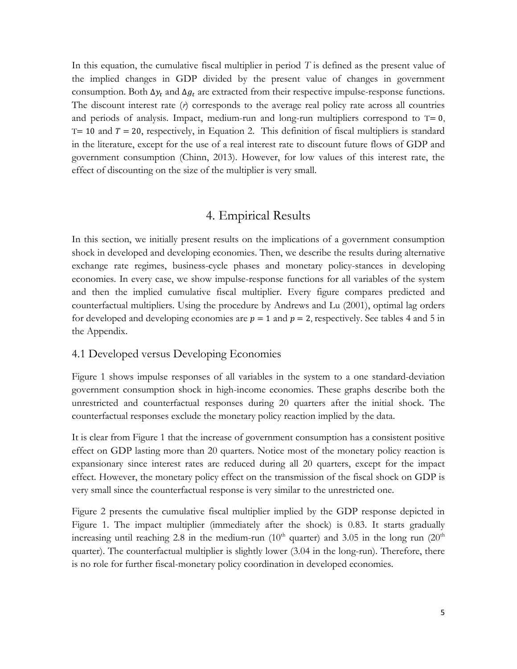In this equation, the cumulative fiscal multiplier in period *T* is defined as the present value of the implied changes in GDP divided by the present value of changes in government consumption. Both  $\Delta y_t$  and  $\Delta g_t$  are extracted from their respective impulse-response functions. The discount interest rate (*r*) corresponds to the average real policy rate across all countries and periods of analysis. Impact, medium-run and long-run multipliers correspond to T= 0,  $T= 10$  and  $T= 20$ , respectively, in Equation 2. This definition of fiscal multipliers is standard in the literature, except for the use of a real interest rate to discount future flows of GDP and government consumption (Chinn, 2013). However, for low values of this interest rate, the effect of discounting on the size of the multiplier is very small.

## 4. Empirical Results

In this section, we initially present results on the implications of a government consumption shock in developed and developing economies. Then, we describe the results during alternative exchange rate regimes, business-cycle phases and monetary policy-stances in developing economies. In every case, we show impulse-response functions for all variables of the system and then the implied cumulative fiscal multiplier. Every figure compares predicted and counterfactual multipliers. Using the procedure by Andrews and Lu (2001), optimal lag orders for developed and developing economies are  $p = 1$  and  $p = 2$ , respectively. See tables 4 and 5 in the Appendix.

### 4.1 Developed versus Developing Economies

Figure 1 shows impulse responses of all variables in the system to a one standard-deviation government consumption shock in high-income economies. These graphs describe both the unrestricted and counterfactual responses during 20 quarters after the initial shock. The counterfactual responses exclude the monetary policy reaction implied by the data.

It is clear from Figure 1 that the increase of government consumption has a consistent positive effect on GDP lasting more than 20 quarters. Notice most of the monetary policy reaction is expansionary since interest rates are reduced during all 20 quarters, except for the impact effect. However, the monetary policy effect on the transmission of the fiscal shock on GDP is very small since the counterfactual response is very similar to the unrestricted one.

Figure 2 presents the cumulative fiscal multiplier implied by the GDP response depicted in Figure 1. The impact multiplier (immediately after the shock) is 0.83. It starts gradually increasing until reaching 2.8 in the medium-run (10<sup>th</sup> quarter) and 3.05 in the long run (20<sup>th</sup>) quarter). The counterfactual multiplier is slightly lower (3.04 in the long-run). Therefore, there is no role for further fiscal-monetary policy coordination in developed economies.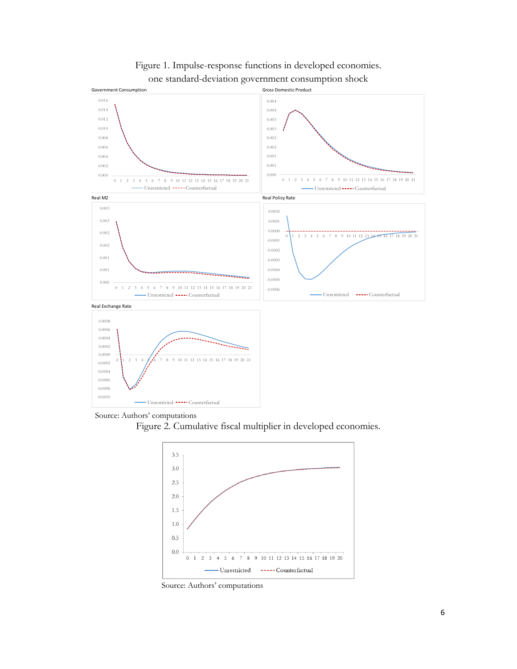

Figure 1. Impulse-response functions in developed economies. one standard-deviation government consumption shock



Figure 2. Cumulative fiscal multiplier in developed economies.



Source: Authors' computations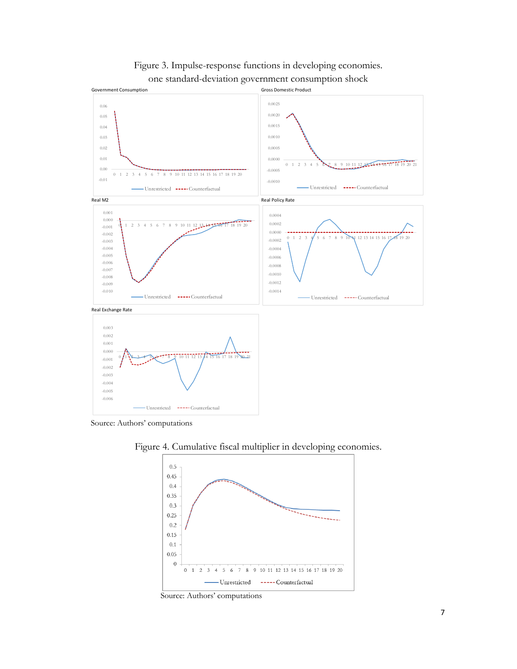

## Figure 3. Impulse-response functions in developing economies. one standard-deviation government consumption shock

Source: Authors' computations



Figure 4. Cumulative fiscal multiplier in developing economies.

Source: Authors' computations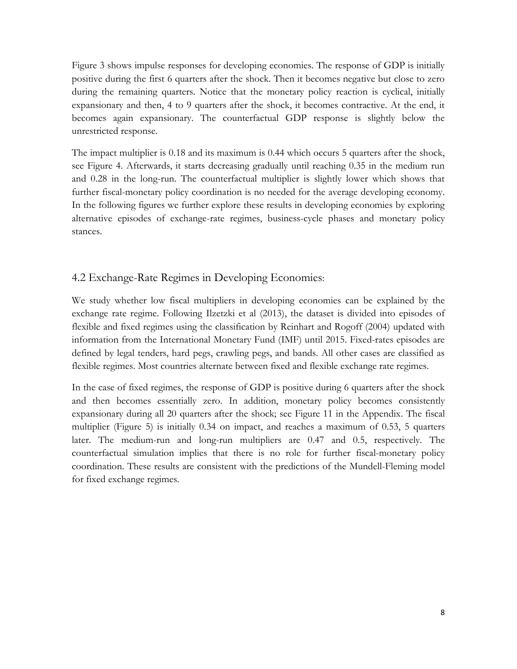Figure 3 shows impulse responses for developing economies. The response of GDP is initially positive during the first 6 quarters after the shock. Then it becomes negative but close to zero during the remaining quarters. Notice that the monetary policy reaction is cyclical, initially expansionary and then, 4 to 9 quarters after the shock, it becomes contractive. At the end, it becomes again expansionary. The counterfactual GDP response is slightly below the unrestricted response.

The impact multiplier is 0.18 and its maximum is 0.44 which occurs 5 quarters after the shock, see Figure 4. Afterwards, it starts decreasing gradually until reaching 0.35 in the medium run and 0.28 in the long-run. The counterfactual multiplier is slightly lower which shows that further fiscal-monetary policy coordination is no needed for the average developing economy. In the following figures we further explore these results in developing economies by exploring alternative episodes of exchange-rate regimes, business-cycle phases and monetary policy stances.

### 4.2 Exchange-Rate Regimes in Developing Economies:

We study whether low fiscal multipliers in developing economies can be explained by the exchange rate regime. Following Ilzetzki et al (2013), the dataset is divided into episodes of flexible and fixed regimes using the classification by Reinhart and Rogoff (2004) updated with information from the International Monetary Fund (IMF) until 2015. Fixed-rates episodes are defined by legal tenders, hard pegs, crawling pegs, and bands. All other cases are classified as flexible regimes. Most countries alternate between fixed and flexible exchange rate regimes.

In the case of fixed regimes, the response of GDP is positive during 6 quarters after the shock and then becomes essentially zero. In addition, monetary policy becomes consistently expansionary during all 20 quarters after the shock; see Figure 11 in the Appendix. The fiscal multiplier (Figure 5) is initially 0.34 on impact, and reaches a maximum of 0.53, 5 quarters later. The medium-run and long-run multipliers are 0.47 and 0.5, respectively. The counterfactual simulation implies that there is no role for further fiscal-monetary policy coordination. These results are consistent with the predictions of the Mundell-Fleming model for fixed exchange regimes.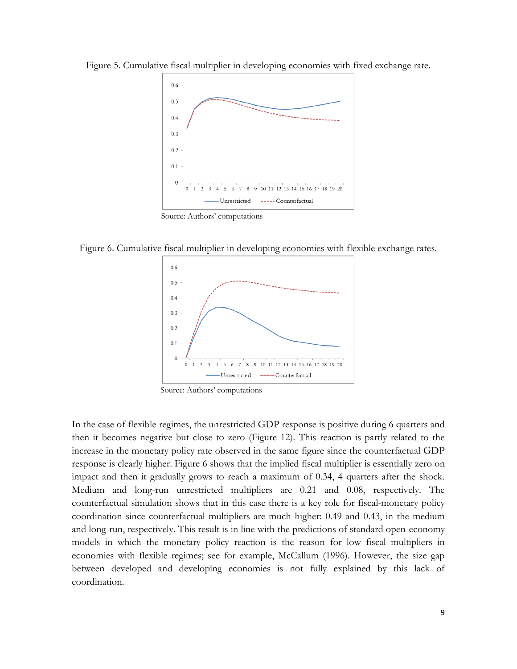Figure 5. Cumulative fiscal multiplier in developing economies with fixed exchange rate.



Source: Authors' computations

Figure 6. Cumulative fiscal multiplier in developing economies with flexible exchange rates.



Source: Authors' computations

In the case of flexible regimes, the unrestricted GDP response is positive during 6 quarters and then it becomes negative but close to zero (Figure 12). This reaction is partly related to the increase in the monetary policy rate observed in the same figure since the counterfactual GDP response is clearly higher. Figure 6 shows that the implied fiscal multiplier is essentially zero on impact and then it gradually grows to reach a maximum of 0.34, 4 quarters after the shock. Medium and long-run unrestricted multipliers are 0.21 and 0.08, respectively. The counterfactual simulation shows that in this case there is a key role for fiscal-monetary policy coordination since counterfactual multipliers are much higher: 0.49 and 0.43, in the medium and long-run, respectively. This result is in line with the predictions of standard open-economy models in which the monetary policy reaction is the reason for low fiscal multipliers in economies with flexible regimes; see for example, McCallum (1996). However, the size gap between developed and developing economies is not fully explained by this lack of coordination.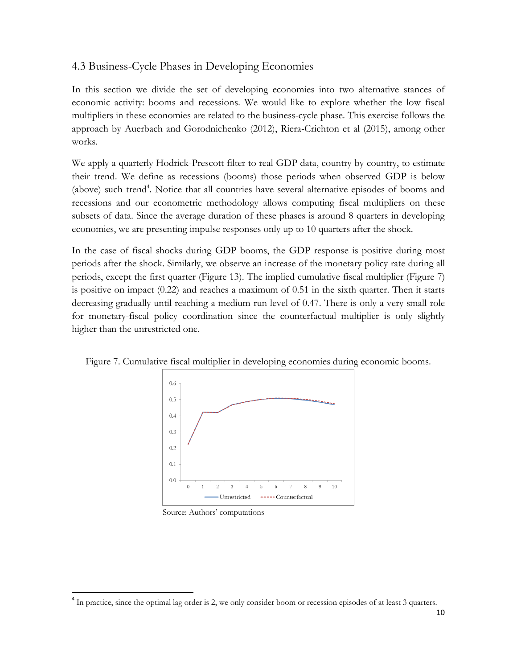## 4.3 Business-Cycle Phases in Developing Economies

In this section we divide the set of developing economies into two alternative stances of economic activity: booms and recessions. We would like to explore whether the low fiscal multipliers in these economies are related to the business-cycle phase. This exercise follows the approach by Auerbach and Gorodnichenko (2012), Riera-Crichton et al (2015), among other works.

We apply a quarterly Hodrick-Prescott filter to real GDP data, country by country, to estimate their trend. We define as recessions (booms) those periods when observed GDP is below (above) such trend<sup>4</sup>. Notice that all countries have several alternative episodes of booms and recessions and our econometric methodology allows computing fiscal multipliers on these subsets of data. Since the average duration of these phases is around 8 quarters in developing economies, we are presenting impulse responses only up to 10 quarters after the shock.

In the case of fiscal shocks during GDP booms, the GDP response is positive during most periods after the shock. Similarly, we observe an increase of the monetary policy rate during all periods, except the first quarter (Figure 13). The implied cumulative fiscal multiplier (Figure 7) is positive on impact (0.22) and reaches a maximum of 0.51 in the sixth quarter. Then it starts decreasing gradually until reaching a medium-run level of 0.47. There is only a very small role for monetary-fiscal policy coordination since the counterfactual multiplier is only slightly higher than the unrestricted one.





Source: Authors' computations

 $\overline{a}$ 

<sup>&</sup>lt;sup>4</sup> In practice, since the optimal lag order is 2, we only consider boom or recession episodes of at least 3 quarters.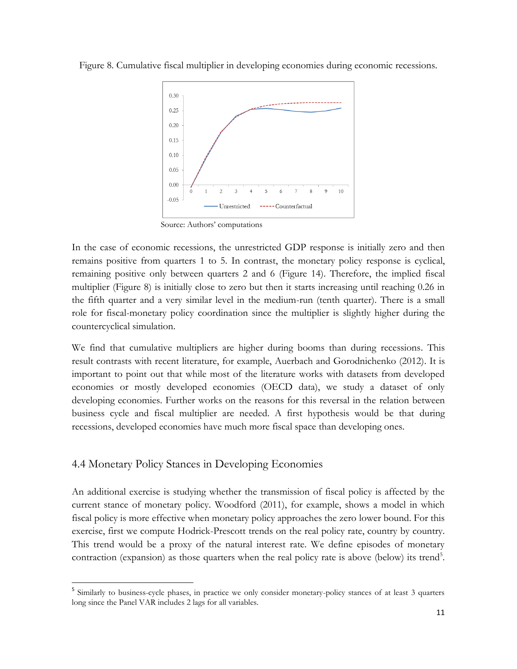Figure 8. Cumulative fiscal multiplier in developing economies during economic recessions.



Source: Authors' computations

In the case of economic recessions, the unrestricted GDP response is initially zero and then remains positive from quarters 1 to 5. In contrast, the monetary policy response is cyclical, remaining positive only between quarters 2 and 6 (Figure 14). Therefore, the implied fiscal multiplier (Figure 8) is initially close to zero but then it starts increasing until reaching 0.26 in the fifth quarter and a very similar level in the medium-run (tenth quarter). There is a small role for fiscal-monetary policy coordination since the multiplier is slightly higher during the countercyclical simulation.

We find that cumulative multipliers are higher during booms than during recessions. This result contrasts with recent literature, for example, Auerbach and Gorodnichenko (2012). It is important to point out that while most of the literature works with datasets from developed economies or mostly developed economies (OECD data), we study a dataset of only developing economies. Further works on the reasons for this reversal in the relation between business cycle and fiscal multiplier are needed. A first hypothesis would be that during recessions, developed economies have much more fiscal space than developing ones.

## 4.4 Monetary Policy Stances in Developing Economies

 $\overline{a}$ 

An additional exercise is studying whether the transmission of fiscal policy is affected by the current stance of monetary policy. Woodford (2011), for example, shows a model in which fiscal policy is more effective when monetary policy approaches the zero lower bound. For this exercise, first we compute Hodrick-Prescott trends on the real policy rate, country by country. This trend would be a proxy of the natural interest rate. We define episodes of monetary contraction (expansion) as those quarters when the real policy rate is above (below) its trend<sup>5</sup>.

<sup>&</sup>lt;sup>5</sup> Similarly to business-cycle phases, in practice we only consider monetary-policy stances of at least 3 quarters long since the Panel VAR includes 2 lags for all variables.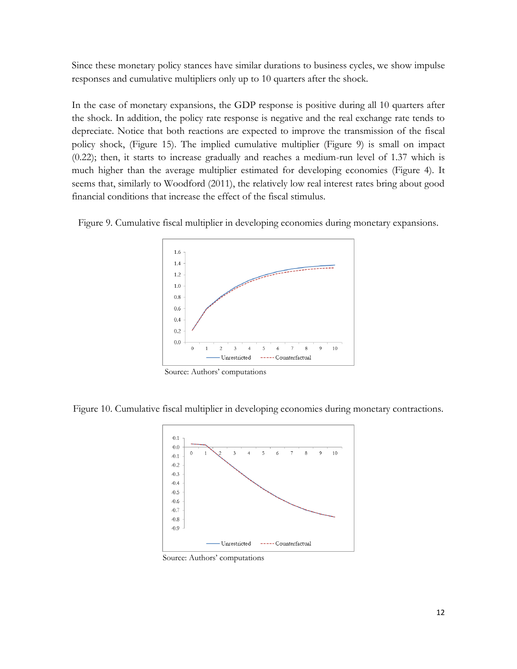Since these monetary policy stances have similar durations to business cycles, we show impulse responses and cumulative multipliers only up to 10 quarters after the shock.

In the case of monetary expansions, the GDP response is positive during all 10 quarters after the shock. In addition, the policy rate response is negative and the real exchange rate tends to depreciate. Notice that both reactions are expected to improve the transmission of the fiscal policy shock, (Figure 15). The implied cumulative multiplier (Figure 9) is small on impact (0.22); then, it starts to increase gradually and reaches a medium-run level of 1.37 which is much higher than the average multiplier estimated for developing economies (Figure 4). It seems that, similarly to Woodford (2011), the relatively low real interest rates bring about good financial conditions that increase the effect of the fiscal stimulus.





Source: Authors' computations

Figure 10. Cumulative fiscal multiplier in developing economies during monetary contractions.



Source: Authors' computations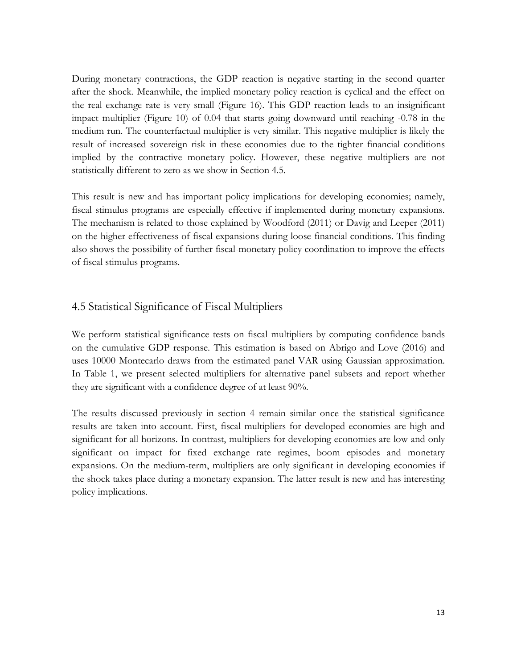During monetary contractions, the GDP reaction is negative starting in the second quarter after the shock. Meanwhile, the implied monetary policy reaction is cyclical and the effect on the real exchange rate is very small (Figure 16). This GDP reaction leads to an insignificant impact multiplier (Figure 10) of 0.04 that starts going downward until reaching -0.78 in the medium run. The counterfactual multiplier is very similar. This negative multiplier is likely the result of increased sovereign risk in these economies due to the tighter financial conditions implied by the contractive monetary policy. However, these negative multipliers are not statistically different to zero as we show in Section 4.5.

This result is new and has important policy implications for developing economies; namely, fiscal stimulus programs are especially effective if implemented during monetary expansions. The mechanism is related to those explained by Woodford (2011) or Davig and Leeper (2011) on the higher effectiveness of fiscal expansions during loose financial conditions. This finding also shows the possibility of further fiscal-monetary policy coordination to improve the effects of fiscal stimulus programs.

### 4.5 Statistical Significance of Fiscal Multipliers

We perform statistical significance tests on fiscal multipliers by computing confidence bands on the cumulative GDP response. This estimation is based on Abrigo and Love (2016) and uses 10000 Montecarlo draws from the estimated panel VAR using Gaussian approximation. In Table 1, we present selected multipliers for alternative panel subsets and report whether they are significant with a confidence degree of at least 90%.

The results discussed previously in section 4 remain similar once the statistical significance results are taken into account. First, fiscal multipliers for developed economies are high and significant for all horizons. In contrast, multipliers for developing economies are low and only significant on impact for fixed exchange rate regimes, boom episodes and monetary expansions. On the medium-term, multipliers are only significant in developing economies if the shock takes place during a monetary expansion. The latter result is new and has interesting policy implications.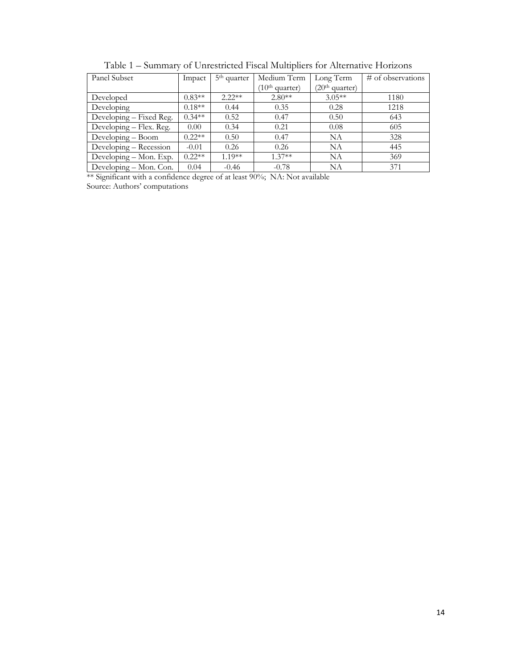| Panel Subset            | Impact            | 5 <sup>th</sup> quarter | Medium Term                | Long Term                  | # of observations |
|-------------------------|-------------------|-------------------------|----------------------------|----------------------------|-------------------|
|                         |                   |                         | (10 <sup>th</sup> quarter) | (20 <sup>th</sup> quarter) |                   |
| Developed               | $0.83**$          | $2.22**$                | $2.80**$                   | $3.05**$                   | 1180              |
| Developing              | $0.18**$          | 0.44                    | 0.35                       | 0.28                       | 1218              |
| Developing – Fixed Reg. | $0.34**$          | 0.52                    | 0.47                       | 0.50                       | 643               |
| Developing – Flex. Reg. | 0.00 <sub>1</sub> | 0.34                    | 0.21                       | 0.08                       | 605               |
| Developing - Boom       | $0.22**$          | 0.50                    | 0.47                       | <b>NA</b>                  | 328               |
| Developing – Recession  | $-0.01$           | 0.26                    | 0.26                       | NA                         | 445               |
| Developing – Mon. Exp.  | $0.22**$          | $1.19**$                | $1.37**$                   | NA                         | 369               |
| Developing - Mon. Con.  | 0.04              | $-0.46$                 | $-0.78$                    | NA                         | 371               |

Table 1 – Summary of Unrestricted Fiscal Multipliers for Alternative Horizons

\*\* Significant with a confidence degree of at least 90%; NA: Not available Source: Authors' computations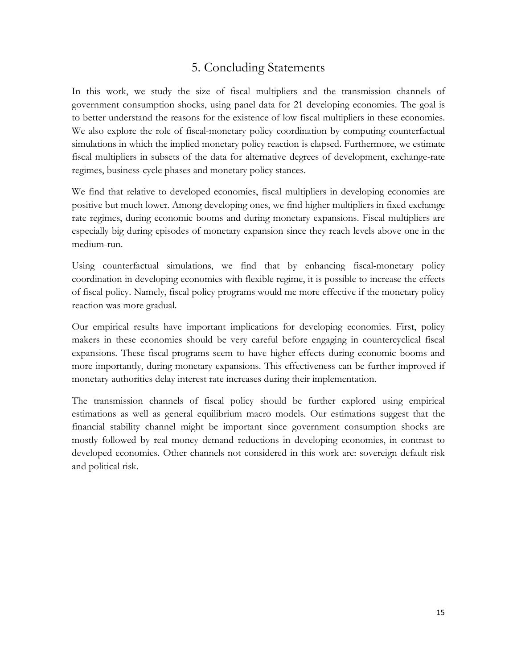## 5. Concluding Statements

In this work, we study the size of fiscal multipliers and the transmission channels of government consumption shocks, using panel data for 21 developing economies. The goal is to better understand the reasons for the existence of low fiscal multipliers in these economies. We also explore the role of fiscal-monetary policy coordination by computing counterfactual simulations in which the implied monetary policy reaction is elapsed. Furthermore, we estimate fiscal multipliers in subsets of the data for alternative degrees of development, exchange-rate regimes, business-cycle phases and monetary policy stances.

We find that relative to developed economies, fiscal multipliers in developing economies are positive but much lower. Among developing ones, we find higher multipliers in fixed exchange rate regimes, during economic booms and during monetary expansions. Fiscal multipliers are especially big during episodes of monetary expansion since they reach levels above one in the medium-run.

Using counterfactual simulations, we find that by enhancing fiscal-monetary policy coordination in developing economies with flexible regime, it is possible to increase the effects of fiscal policy. Namely, fiscal policy programs would me more effective if the monetary policy reaction was more gradual.

Our empirical results have important implications for developing economies. First, policy makers in these economies should be very careful before engaging in countercyclical fiscal expansions. These fiscal programs seem to have higher effects during economic booms and more importantly, during monetary expansions. This effectiveness can be further improved if monetary authorities delay interest rate increases during their implementation.

The transmission channels of fiscal policy should be further explored using empirical estimations as well as general equilibrium macro models. Our estimations suggest that the financial stability channel might be important since government consumption shocks are mostly followed by real money demand reductions in developing economies, in contrast to developed economies. Other channels not considered in this work are: sovereign default risk and political risk.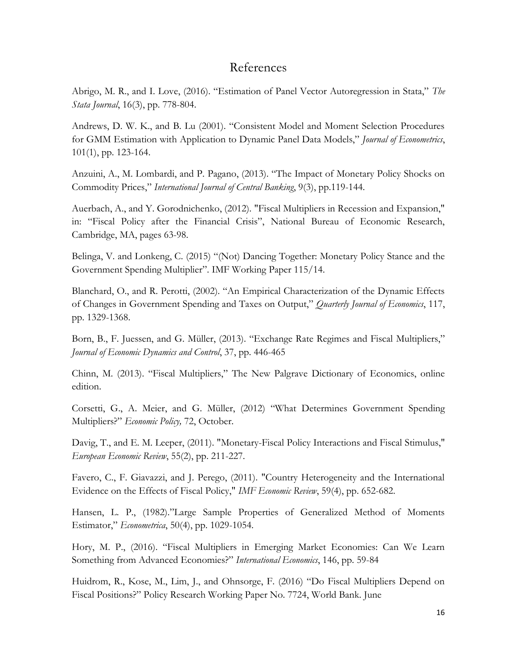### References

Abrigo, M. R., and I. Love, (2016). "Estimation of Panel Vector Autoregression in Stata," *The Stata Journal*, 16(3), pp. 778-804.

Andrews, D. W. K., and B. Lu (2001). "Consistent Model and Moment Selection Procedures for GMM Estimation with Application to Dynamic Panel Data Models," *Journal of Econometrics*, 101(1), pp. 123-164.

Anzuini, A., M. Lombardi, and P. Pagano, (2013). "The Impact of Monetary Policy Shocks on Commodity Prices," *International Journal of Central Banking*, 9(3), pp.119-144.

Auerbach, A., and Y. Gorodnichenko, (2012). "Fiscal Multipliers in Recession and Expansion," in: "Fiscal Policy after the Financial Crisis", National Bureau of Economic Research, Cambridge, MA, pages 63-98.

Belinga, V. and Lonkeng, C. (2015) "(Not) Dancing Together: Monetary Policy Stance and the Government Spending Multiplier". IMF Working Paper 115/14.

Blanchard, O., and R. Perotti, (2002). "An Empirical Characterization of the Dynamic Effects of Changes in Government Spending and Taxes on Output," *Quarterly Journal of Economics*, 117, pp. 1329-1368.

Born, B., F. Juessen, and G. Müller, (2013). "Exchange Rate Regimes and Fiscal Multipliers," *Journal of Economic Dynamics and Control*, 37, pp. 446-465

Chinn, M. (2013). "Fiscal Multipliers," The New Palgrave Dictionary of Economics, online edition.

Corsetti, G., A. Meier, and G. Müller, (2012) "What Determines Government Spending Multipliers?" *Economic Policy,* 72, October.

Davig, T., and E. M. Leeper, (2011). "Monetary-Fiscal Policy Interactions and Fiscal Stimulus," *European Economic Review*, 55(2), pp. 211-227.

Favero, C., F. Giavazzi, and J. Perego, (2011). "Country Heterogeneity and the International Evidence on the Effects of Fiscal Policy," *IMF Economic Review*, 59(4), pp. 652-682.

Hansen, L. P., (1982)."Large Sample Properties of Generalized Method of Moments Estimator," *Econometrica*, 50(4), pp. 1029-1054.

Hory, M. P., (2016). "Fiscal Multipliers in Emerging Market Economies: Can We Learn Something from Advanced Economies?" *International Economics*, 146, pp. 59-84

Huidrom, R., Kose, M., Lim, J., and Ohnsorge, F. (2016) "Do Fiscal Multipliers Depend on Fiscal Positions?" Policy Research Working Paper No. 7724, World Bank. June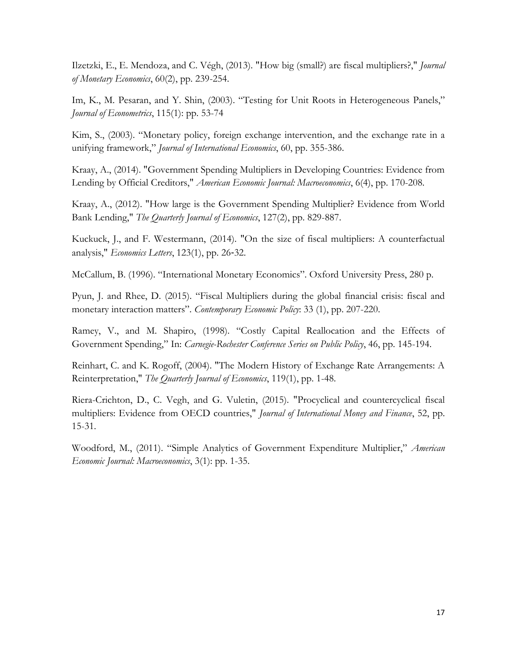Ilzetzki, E., E. Mendoza, and C. Végh, (2013). "How big (small?) are fiscal multipliers?," *Journal of Monetary Economics*, 60(2), pp. 239-254.

Im, K., M. Pesaran, and Y. Shin, (2003). "Testing for Unit Roots in Heterogeneous Panels," *Journal of Econometrics*, 115(1): pp. 53-74

Kim, S., (2003). "Monetary policy, foreign exchange intervention, and the exchange rate in a unifying framework," *Journal of International Economics*, 60, pp. 355-386.

Kraay, A., (2014). "Government Spending Multipliers in Developing Countries: Evidence from Lending by Official Creditors," *American Economic Journal: Macroeconomics*, 6(4), pp. 170-208.

Kraay, A., (2012). "How large is the Government Spending Multiplier? Evidence from World Bank Lending," *The Quarterly Journal of Economics*, 127(2), pp. 829-887.

Kuckuck, J., and F. Westermann, (2014). "On the size of fiscal multipliers: A counterfactual analysis," *Economics Letters*, 123(1), pp. 26‐32.

McCallum, B. (1996). "International Monetary Economics". Oxford University Press, 280 p.

Pyun, J. and Rhee, D. (2015). "Fiscal Multipliers during the global financial crisis: fiscal and monetary interaction matters". *Contemporary Economic Policy*: 33 (1), pp. 207-220.

Ramey, V., and M. Shapiro, (1998). "Costly Capital Reallocation and the Effects of Government Spending," In: *Carnegie-Rochester Conference Series on Public Policy*, 46, pp. 145-194.

Reinhart, C. and K. Rogoff, (2004). "The Modern History of Exchange Rate Arrangements: A Reinterpretation," *The Quarterly Journal of Economics*, 119(1), pp. 1-48.

Riera-Crichton, D., C. Vegh, and G. Vuletin, (2015). "Procyclical and countercyclical fiscal multipliers: Evidence from OECD countries," *Journal of International Money and Finance*, 52, pp. 15-31.

Woodford, M., (2011). "Simple Analytics of Government Expenditure Multiplier," *American Economic Journal: Macroeconomics*, 3(1): pp. 1-35.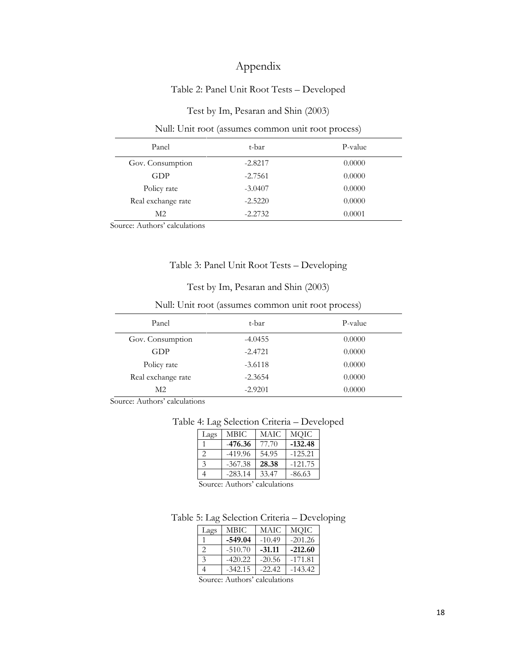## Appendix

### Table 2: Panel Unit Root Tests – Developed

### Test by Im, Pesaran and Shin (2003)

#### Null: Unit root (assumes common unit root process)

| Panel              | t-bar     | P-value |
|--------------------|-----------|---------|
| Gov. Consumption   | $-2.8217$ | 0.0000  |
| GDP                | $-2.7561$ | 0.0000  |
| Policy rate        | $-3.0407$ | 0.0000  |
| Real exchange rate | $-2.5220$ | 0.0000  |
| M <sub>2</sub>     | $-2.2732$ | 0.0001  |

Source: Authors' calculations

### Table 3: Panel Unit Root Tests – Developing

#### Test by Im, Pesaran and Shin (2003)

### Null: Unit root (assumes common unit root process)

| Panel              | t-bar     | P-value |
|--------------------|-----------|---------|
| Gov. Consumption   | $-4.0455$ | 0.0000  |
| GDP                | $-2.4721$ | 0.0000  |
| Policy rate        | $-3.6118$ | 0.0000  |
| Real exchange rate | $-2.3654$ | 0.0000  |
| M2                 | $-2.9201$ | 0.0000  |

Source: Authors' calculations

#### Table 4: Lag Selection Criteria – Developed

| Lags          | MBIC.     | <b>MAIC</b> | MQIC      |
|---------------|-----------|-------------|-----------|
|               | $-476.36$ | 77.70       | $-132.48$ |
| っ             | $-419.96$ | 54.95       | $-125.21$ |
| $\mathcal{E}$ | $-367.38$ | 28.38       | $-121.75$ |
|               | $-283.14$ | 33.47       | $-86.63$  |

Source: Authors' calculations

#### Table 5: Lag Selection Criteria – Developing

| Lags          | MBIC      | MAIC     | MQIC      |
|---------------|-----------|----------|-----------|
|               | $-549.04$ | $-10.49$ | $-201.26$ |
| っ             | $-510.70$ | $-31.11$ | $-212.60$ |
| $\mathcal{R}$ | $-420.22$ | $-20.56$ | $-171.81$ |
|               | $-342.15$ | $-22.42$ | $-143.42$ |

Source: Authors' calculations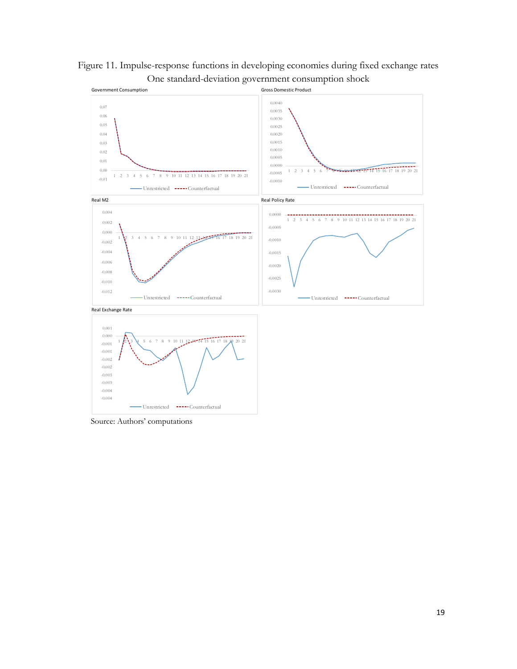

Figure 11. Impulse-response functions in developing economies during fixed exchange rates One standard-deviation government consumption shock

Source: Authors' computations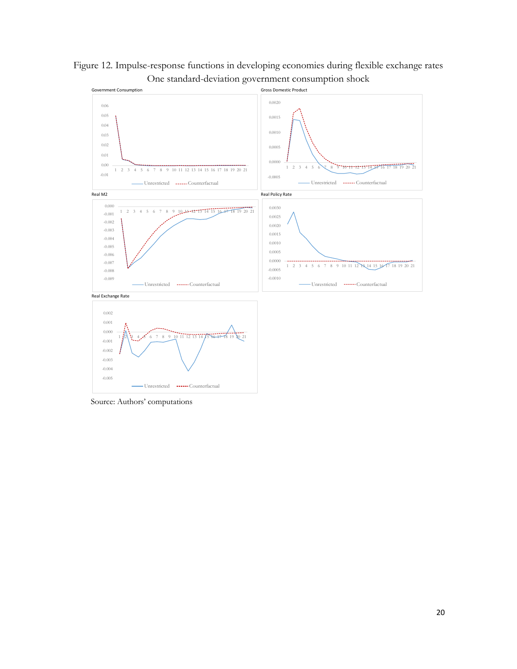



Source: Authors' computations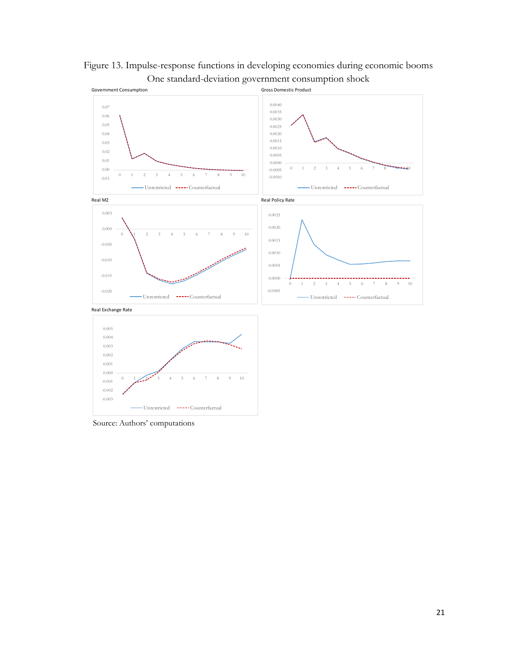

Figure 13. Impulse-response functions in developing economies during economic booms One standard-deviation government consumption shock

Source: Authors' computations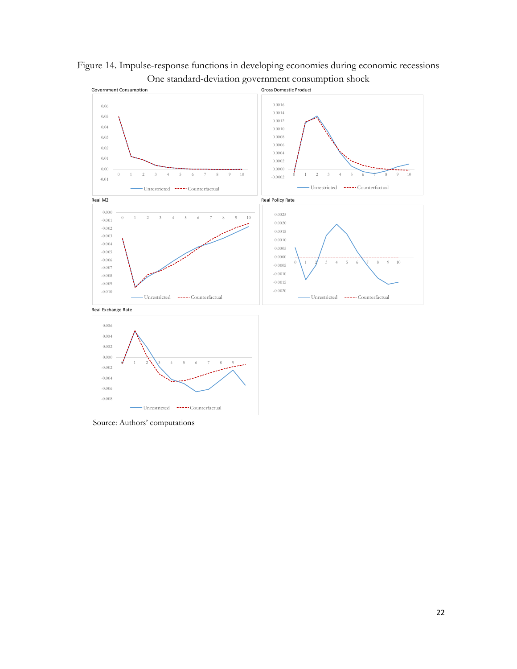

Figure 14. Impulse-response functions in developing economies during economic recessions One standard-deviation government consumption shock

Source: Authors' computations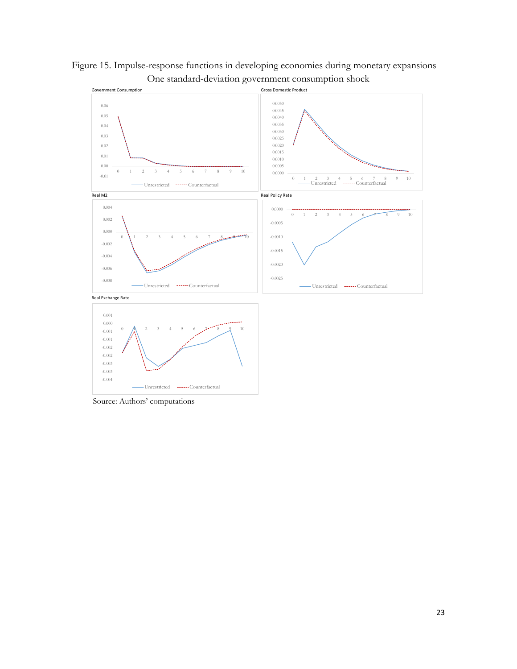

Figure 15. Impulse-response functions in developing economies during monetary expansions One standard-deviation government consumption shock

Source: Authors' computations